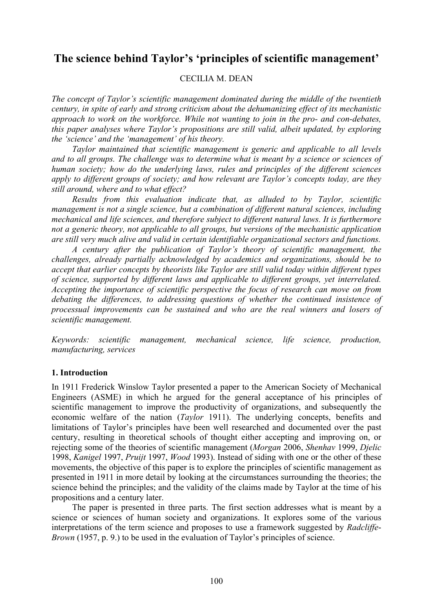# **The science behind Taylor's 'principles of scientific management'**

## CECILIA M. DEAN

*The concept of Taylor's scientific management dominated during the middle of the twentieth century, in spite of early and strong criticism about the dehumanizing effect of its mechanistic approach to work on the workforce. While not wanting to join in the pro- and con-debates, this paper analyses where Taylor's propositions are still valid, albeit updated, by exploring the 'science' and the 'management' of his theory.* 

*Taylor maintained that scientific management is generic and applicable to all levels and to all groups. The challenge was to determine what is meant by a science or sciences of human society; how do the underlying laws, rules and principles of the different sciences apply to different groups of society; and how relevant are Taylor's concepts today, are they still around, where and to what effect?* 

*Results from this evaluation indicate that, as alluded to by Taylor, scientific management is not a single science, but a combination of different natural sciences, including mechanical and life sciences, and therefore subject to different natural laws. It is furthermore not a generic theory, not applicable to all groups, but versions of the mechanistic application are still very much alive and valid in certain identifiable organizational sectors and functions.* 

*A century after the publication of Taylor's theory of scientific management, the challenges, already partially acknowledged by academics and organizations, should be to accept that earlier concepts by theorists like Taylor are still valid today within different types of science, supported by different laws and applicable to different groups, yet interrelated. Accepting the importance of scientific perspective the focus of research can move on from debating the differences, to addressing questions of whether the continued insistence of processual improvements can be sustained and who are the real winners and losers of scientific management.* 

*Keywords: scientific management, mechanical science, life science, production, manufacturing, services*

# **1. Introduction**

In 1911 Frederick Winslow Taylor presented a paper to the American Society of Mechanical Engineers (ASME) in which he argued for the general acceptance of his principles of scientific management to improve the productivity of organizations, and subsequently the economic welfare of the nation (*Taylor* 1911). The underlying concepts, benefits and limitations of Taylor's principles have been well researched and documented over the past century, resulting in theoretical schools of thought either accepting and improving on, or rejecting some of the theories of scientific management (*Morgan* 2006, *Shenhav* 1999, *Djelic* 1998, *Kanigel* 1997, *Pruijt* 1997, *Wood* 1993). Instead of siding with one or the other of these movements, the objective of this paper is to explore the principles of scientific management as presented in 1911 in more detail by looking at the circumstances surrounding the theories; the science behind the principles; and the validity of the claims made by Taylor at the time of his propositions and a century later.

The paper is presented in three parts. The first section addresses what is meant by a science or sciences of human society and organizations. It explores some of the various interpretations of the term science and proposes to use a framework suggested by *Radcliffe*-*Brown* (1957, p. 9.) to be used in the evaluation of Taylor's principles of science.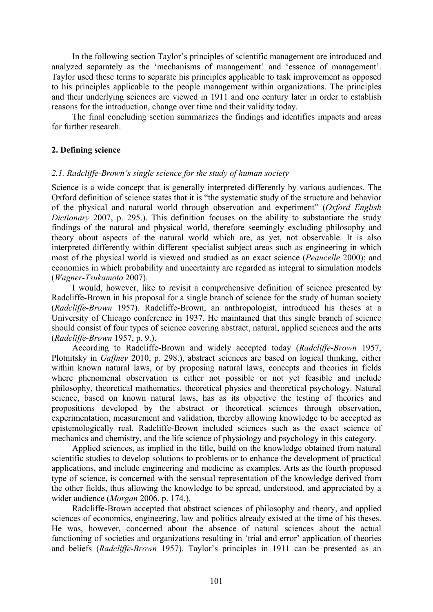In the following section Taylor's principles of scientific management are introduced and analyzed separately as the 'mechanisms of management' and 'essence of management'. Taylor used these terms to separate his principles applicable to task improvement as opposed to his principles applicable to the people management within organizations. The principles and their underlying sciences are viewed in 1911 and one century later in order to establish reasons for the introduction, change over time and their validity today.

The final concluding section summarizes the findings and identifies impacts and areas for further research.

#### **2. Defining science**

## *2.1. Radcliffe-Brown's single science for the study of human society*

Science is a wide concept that is generally interpreted differently by various audiences. The Oxford definition of science states that it is "the systematic study of the structure and behavior of the physical and natural world through observation and experiment" (*Oxford English Dictionary* 2007, p. 295.). This definition focuses on the ability to substantiate the study findings of the natural and physical world, therefore seemingly excluding philosophy and theory about aspects of the natural world which are, as yet, not observable. It is also interpreted differently within different specialist subject areas such as engineering in which most of the physical world is viewed and studied as an exact science (*Peaucelle* 2000); and economics in which probability and uncertainty are regarded as integral to simulation models (*Wagner*-*Tsukamoto* 2007).

I would, however, like to revisit a comprehensive definition of science presented by Radcliffe-Brown in his proposal for a single branch of science for the study of human society (*Radcliffe*-*Brown* 1957). Radcliffe-Brown, an anthropologist, introduced his theses at a University of Chicago conference in 1937. He maintained that this single branch of science should consist of four types of science covering abstract, natural, applied sciences and the arts (*Radcliffe*-*Brown* 1957, p. 9.).

According to Radcliffe-Brown and widely accepted today (*Radcliffe*-*Brown* 1957, Plotnitsky in *Gaffney* 2010, p. 298.), abstract sciences are based on logical thinking, either within known natural laws, or by proposing natural laws, concepts and theories in fields where phenomenal observation is either not possible or not yet feasible and include philosophy, theoretical mathematics, theoretical physics and theoretical psychology. Natural science, based on known natural laws, has as its objective the testing of theories and propositions developed by the abstract or theoretical sciences through observation, experimentation, measurement and validation, thereby allowing knowledge to be accepted as epistemologically real. Radcliffe-Brown included sciences such as the exact science of mechanics and chemistry, and the life science of physiology and psychology in this category.

Applied sciences, as implied in the title, build on the knowledge obtained from natural scientific studies to develop solutions to problems or to enhance the development of practical applications, and include engineering and medicine as examples. Arts as the fourth proposed type of science, is concerned with the sensual representation of the knowledge derived from the other fields, thus allowing the knowledge to be spread, understood, and appreciated by a wider audience (*Morgan* 2006, p. 174.).

Radcliffe-Brown accepted that abstract sciences of philosophy and theory, and applied sciences of economics, engineering, law and politics already existed at the time of his theses. He was, however, concerned about the absence of natural sciences about the actual functioning of societies and organizations resulting in 'trial and error' application of theories and beliefs (*Radcliffe*-*Brown* 1957). Taylor's principles in 1911 can be presented as an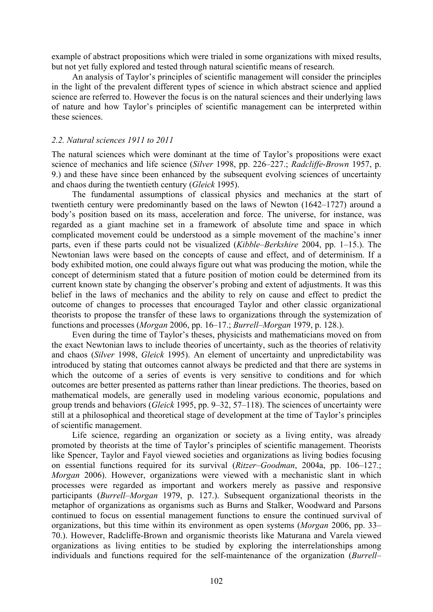example of abstract propositions which were trialed in some organizations with mixed results, but not yet fully explored and tested through natural scientific means of research.

An analysis of Taylor's principles of scientific management will consider the principles in the light of the prevalent different types of science in which abstract science and applied science are referred to. However the focus is on the natural sciences and their underlying laws of nature and how Taylor's principles of scientific management can be interpreted within these sciences.

#### *2.2. Natural sciences 1911 to 2011*

The natural sciences which were dominant at the time of Taylor's propositions were exact science of mechanics and life science (*Silver* 1998, pp. 226–227.; *Radcliffe*-*Brown* 1957, p. 9.) and these have since been enhanced by the subsequent evolving sciences of uncertainty and chaos during the twentieth century (*Gleick* 1995).

The fundamental assumptions of classical physics and mechanics at the start of twentieth century were predominantly based on the laws of Newton (1642–1727) around a body's position based on its mass, acceleration and force. The universe, for instance, was regarded as a giant machine set in a framework of absolute time and space in which complicated movement could be understood as a simple movement of the machine's inner parts, even if these parts could not be visualized (*Kibble*–*Berkshire* 2004, pp. 1–15.). The Newtonian laws were based on the concepts of cause and effect, and of determinism. If a body exhibited motion, one could always figure out what was producing the motion, while the concept of determinism stated that a future position of motion could be determined from its current known state by changing the observer's probing and extent of adjustments. It was this belief in the laws of mechanics and the ability to rely on cause and effect to predict the outcome of changes to processes that encouraged Taylor and other classic organizational theorists to propose the transfer of these laws to organizations through the systemization of functions and processes (*Morgan* 2006, pp. 16–17.; *Burrell*–*Morgan* 1979, p. 128.).

Even during the time of Taylor's theses, physicists and mathematicians moved on from the exact Newtonian laws to include theories of uncertainty, such as the theories of relativity and chaos (*Silver* 1998, *Gleick* 1995). An element of uncertainty and unpredictability was introduced by stating that outcomes cannot always be predicted and that there are systems in which the outcome of a series of events is very sensitive to conditions and for which outcomes are better presented as patterns rather than linear predictions. The theories, based on mathematical models, are generally used in modeling various economic, populations and group trends and behaviors (*Gleick* 1995, pp. 9–32, 57–118). The sciences of uncertainty were still at a philosophical and theoretical stage of development at the time of Taylor's principles of scientific management.

Life science, regarding an organization or society as a living entity, was already promoted by theorists at the time of Taylor's principles of scientific management. Theorists like Spencer, Taylor and Fayol viewed societies and organizations as living bodies focusing on essential functions required for its survival (*Ritzer*–*Goodman*, 2004a, pp. 106–127.; *Morgan* 2006). However, organizations were viewed with a mechanistic slant in which processes were regarded as important and workers merely as passive and responsive participants (*Burrell*–*Morgan* 1979, p. 127.). Subsequent organizational theorists in the metaphor of organizations as organisms such as Burns and Stalker, Woodward and Parsons continued to focus on essential management functions to ensure the continued survival of organizations, but this time within its environment as open systems (*Morgan* 2006, pp. 33– 70.). However, Radcliffe-Brown and organismic theorists like Maturana and Varela viewed organizations as living entities to be studied by exploring the interrelationships among individuals and functions required for the self-maintenance of the organization (*Burrell*–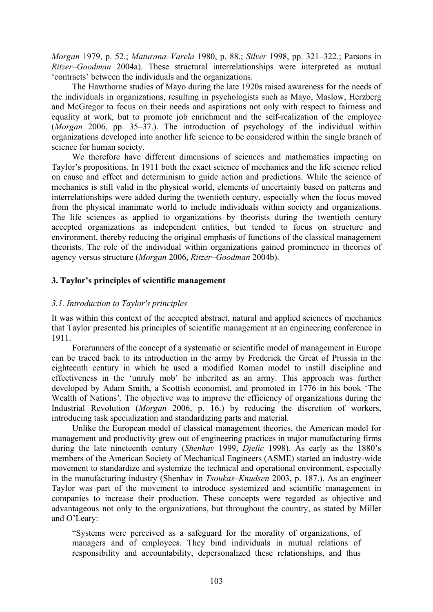*Morgan* 1979, p. 52.; *Maturana*–*Varela* 1980, p. 88.; *Silver* 1998, pp. 321–322.; Parsons in *Ritzer*–*Goodman* 2004a). These structural interrelationships were interpreted as mutual 'contracts' between the individuals and the organizations.

The Hawthorne studies of Mayo during the late 1920s raised awareness for the needs of the individuals in organizations, resulting in psychologists such as Mayo, Maslow, Herzberg and McGregor to focus on their needs and aspirations not only with respect to fairness and equality at work, but to promote job enrichment and the self-realization of the employee (*Morgan* 2006, pp. 35–37.). The introduction of psychology of the individual within organizations developed into another life science to be considered within the single branch of science for human society.

We therefore have different dimensions of sciences and mathematics impacting on Taylor's propositions. In 1911 both the exact science of mechanics and the life science relied on cause and effect and determinism to guide action and predictions. While the science of mechanics is still valid in the physical world, elements of uncertainty based on patterns and interrelationships were added during the twentieth century, especially when the focus moved from the physical inanimate world to include individuals within society and organizations. The life sciences as applied to organizations by theorists during the twentieth century accepted organizations as independent entities, but tended to focus on structure and environment, thereby reducing the original emphasis of functions of the classical management theorists. The role of the individual within organizations gained prominence in theories of agency versus structure (*Morgan* 2006, *Ritzer*–*Goodman* 2004b).

## **3. Taylor's principles of scientific management**

## *3.1. Introduction to Taylor's principles*

It was within this context of the accepted abstract, natural and applied sciences of mechanics that Taylor presented his principles of scientific management at an engineering conference in 1911.

Forerunners of the concept of a systematic or scientific model of management in Europe can be traced back to its introduction in the army by Frederick the Great of Prussia in the eighteenth century in which he used a modified Roman model to instill discipline and effectiveness in the 'unruly mob' he inherited as an army. This approach was further developed by Adam Smith, a Scottish economist, and promoted in 1776 in his book 'The Wealth of Nations'. The objective was to improve the efficiency of organizations during the Industrial Revolution (*Morgan* 2006, p. 16.) by reducing the discretion of workers, introducing task specialization and standardizing parts and material.

Unlike the European model of classical management theories, the American model for management and productivity grew out of engineering practices in major manufacturing firms during the late nineteenth century (*Shenhav* 1999, *Djelic* 1998). As early as the 1880's members of the American Society of Mechanical Engineers (ASME) started an industry-wide movement to standardize and systemize the technical and operational environment, especially in the manufacturing industry (Shenhav in *Tsoukas*–*Knudsen* 2003, p. 187.). As an engineer Taylor was part of the movement to introduce systemized and scientific management in companies to increase their production. These concepts were regarded as objective and advantageous not only to the organizations, but throughout the country, as stated by Miller and O'Leary:

"Systems were perceived as a safeguard for the morality of organizations, of managers and of employees. They bind individuals in mutual relations of responsibility and accountability, depersonalized these relationships, and thus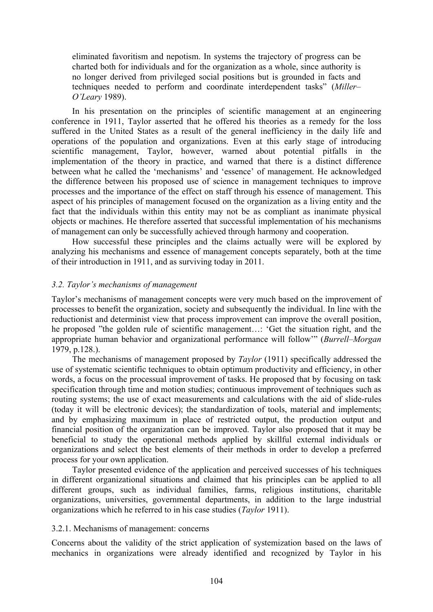eliminated favoritism and nepotism. In systems the trajectory of progress can be charted both for individuals and for the organization as a whole, since authority is no longer derived from privileged social positions but is grounded in facts and techniques needed to perform and coordinate interdependent tasks" (*Miller*– *O'Leary* 1989).

In his presentation on the principles of scientific management at an engineering conference in 1911, Taylor asserted that he offered his theories as a remedy for the loss suffered in the United States as a result of the general inefficiency in the daily life and operations of the population and organizations. Even at this early stage of introducing scientific management, Taylor, however, warned about potential pitfalls in the implementation of the theory in practice, and warned that there is a distinct difference between what he called the 'mechanisms' and 'essence' of management. He acknowledged the difference between his proposed use of science in management techniques to improve processes and the importance of the effect on staff through his essence of management. This aspect of his principles of management focused on the organization as a living entity and the fact that the individuals within this entity may not be as compliant as inanimate physical objects or machines. He therefore asserted that successful implementation of his mechanisms of management can only be successfully achieved through harmony and cooperation.

How successful these principles and the claims actually were will be explored by analyzing his mechanisms and essence of management concepts separately, both at the time of their introduction in 1911, and as surviving today in 2011.

#### *3.2. Taylor's mechanisms of management*

Taylor's mechanisms of management concepts were very much based on the improvement of processes to benefit the organization, society and subsequently the individual. In line with the reductionist and determinist view that process improvement can improve the overall position, he proposed "the golden rule of scientific management…: 'Get the situation right, and the appropriate human behavior and organizational performance will follow'" (*Burrell*–*Morgan* 1979, p.128.).

The mechanisms of management proposed by *Taylor* (1911) specifically addressed the use of systematic scientific techniques to obtain optimum productivity and efficiency, in other words, a focus on the processual improvement of tasks. He proposed that by focusing on task specification through time and motion studies; continuous improvement of techniques such as routing systems; the use of exact measurements and calculations with the aid of slide-rules (today it will be electronic devices); the standardization of tools, material and implements; and by emphasizing maximum in place of restricted output, the production output and financial position of the organization can be improved. Taylor also proposed that it may be beneficial to study the operational methods applied by skillful external individuals or organizations and select the best elements of their methods in order to develop a preferred process for your own application.

Taylor presented evidence of the application and perceived successes of his techniques in different organizational situations and claimed that his principles can be applied to all different groups, such as individual families, farms, religious institutions, charitable organizations, universities, governmental departments, in addition to the large industrial organizations which he referred to in his case studies (*Taylor* 1911).

#### 3.2.1. Mechanisms of management: concerns

Concerns about the validity of the strict application of systemization based on the laws of mechanics in organizations were already identified and recognized by Taylor in his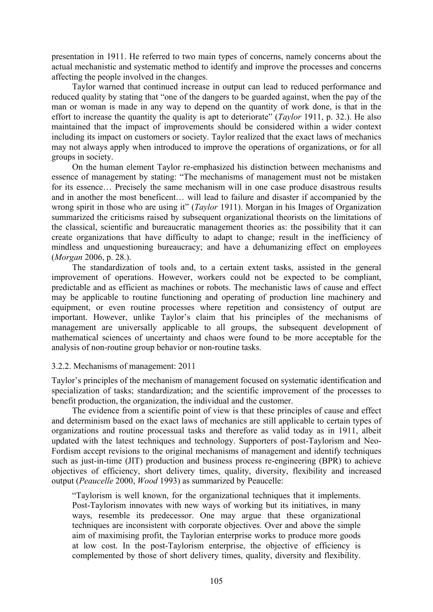presentation in 1911. He referred to two main types of concerns, namely concerns about the actual mechanistic and systematic method to identify and improve the processes and concerns affecting the people involved in the changes.

Taylor warned that continued increase in output can lead to reduced performance and reduced quality by stating that "one of the dangers to be guarded against, when the pay of the man or woman is made in any way to depend on the quantity of work done, is that in the effort to increase the quantity the quality is apt to deteriorate" (*Taylor* 1911, p. 32.). He also maintained that the impact of improvements should be considered within a wider context including its impact on customers or society. Taylor realized that the exact laws of mechanics may not always apply when introduced to improve the operations of organizations, or for all groups in society.

On the human element Taylor re-emphasized his distinction between mechanisms and essence of management by stating: "The mechanisms of management must not be mistaken for its essence… Precisely the same mechanism will in one case produce disastrous results and in another the most beneficent… will lead to failure and disaster if accompanied by the wrong spirit in those who are using it" (*Taylor* 1911). Morgan in his Images of Organization summarized the criticisms raised by subsequent organizational theorists on the limitations of the classical, scientific and bureaucratic management theories as: the possibility that it can create organizations that have difficulty to adapt to change; result in the inefficiency of mindless and unquestioning bureaucracy; and have a dehumanizing effect on employees (*Morgan* 2006, p. 28.).

The standardization of tools and, to a certain extent tasks, assisted in the general improvement of operations. However, workers could not be expected to be compliant, predictable and as efficient as machines or robots. The mechanistic laws of cause and effect may be applicable to routine functioning and operating of production line machinery and equipment, or even routine processes where repetition and consistency of output are important. However, unlike Taylor's claim that his principles of the mechanisms of management are universally applicable to all groups, the subsequent development of mathematical sciences of uncertainty and chaos were found to be more acceptable for the analysis of non-routine group behavior or non-routine tasks.

## 3.2.2. Mechanisms of management: 2011

Taylor's principles of the mechanism of management focused on systematic identification and specialization of tasks; standardization; and the scientific improvement of the processes to benefit production, the organization, the individual and the customer.

The evidence from a scientific point of view is that these principles of cause and effect and determinism based on the exact laws of mechanics are still applicable to certain types of organizations and routine processual tasks and therefore as valid today as in 1911, albeit updated with the latest techniques and technology. Supporters of post-Taylorism and Neo-Fordism accept revisions to the original mechanisms of management and identify techniques such as just-in-time (JIT) production and business process re-engineering (BPR) to achieve objectives of efficiency, short delivery times, quality, diversity, flexibility and increased output (*Peaucelle* 2000, *Wood* 1993) as summarized by Peaucelle:

"Taylorism is well known, for the organizational techniques that it implements. Post-Taylorism innovates with new ways of working but its initiatives, in many ways, resemble its predecessor. One may argue that these organizational techniques are inconsistent with corporate objectives. Over and above the simple aim of maximising profit, the Taylorian enterprise works to produce more goods at low cost. In the post-Taylorism enterprise, the objective of efficiency is complemented by those of short delivery times, quality, diversity and flexibility.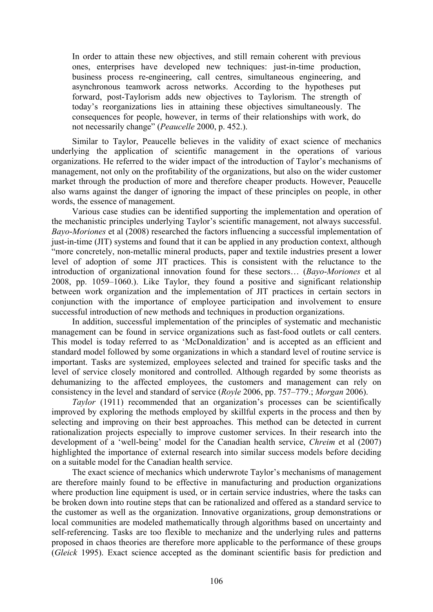In order to attain these new objectives, and still remain coherent with previous ones, enterprises have developed new techniques: just-in-time production, business process re-engineering, call centres, simultaneous engineering, and asynchronous teamwork across networks. According to the hypotheses put forward, post-Taylorism adds new objectives to Taylorism. The strength of today's reorganizations lies in attaining these objectives simultaneously. The consequences for people, however, in terms of their relationships with work, do not necessarily change" (*Peaucelle* 2000, p. 452.).

Similar to Taylor, Peaucelle believes in the validity of exact science of mechanics underlying the application of scientific management in the operations of various organizations. He referred to the wider impact of the introduction of Taylor's mechanisms of management, not only on the profitability of the organizations, but also on the wider customer market through the production of more and therefore cheaper products. However, Peaucelle also warns against the danger of ignoring the impact of these principles on people, in other words, the essence of management.

Various case studies can be identified supporting the implementation and operation of the mechanistic principles underlying Taylor's scientific management, not always successful. *Bayo*-*Moriones* et al (2008) researched the factors influencing a successful implementation of just-in-time (JIT) systems and found that it can be applied in any production context, although "more concretely, non-metallic mineral products, paper and textile industries present a lower level of adoption of some JIT practices. This is consistent with the reluctance to the introduction of organizational innovation found for these sectors… (*Bayo*-*Moriones* et al 2008, pp. 1059–1060.). Like Taylor, they found a positive and significant relationship between work organization and the implementation of JIT practices in certain sectors in conjunction with the importance of employee participation and involvement to ensure successful introduction of new methods and techniques in production organizations.

In addition, successful implementation of the principles of systematic and mechanistic management can be found in service organizations such as fast-food outlets or call centers. This model is today referred to as 'McDonaldization' and is accepted as an efficient and standard model followed by some organizations in which a standard level of routine service is important. Tasks are systemized, employees selected and trained for specific tasks and the level of service closely monitored and controlled. Although regarded by some theorists as dehumanizing to the affected employees, the customers and management can rely on consistency in the level and standard of service (*Royle* 2006, pp. 757–779.; *Morgan* 2006).

*Taylor* (1911) recommended that an organization's processes can be scientifically improved by exploring the methods employed by skillful experts in the process and then by selecting and improving on their best approaches. This method can be detected in current rationalization projects especially to improve customer services. In their research into the development of a 'well-being' model for the Canadian health service, *Chreim* et al (2007) highlighted the importance of external research into similar success models before deciding on a suitable model for the Canadian health service.

The exact science of mechanics which underwrote Taylor's mechanisms of management are therefore mainly found to be effective in manufacturing and production organizations where production line equipment is used, or in certain service industries, where the tasks can be broken down into routine steps that can be rationalized and offered as a standard service to the customer as well as the organization. Innovative organizations, group demonstrations or local communities are modeled mathematically through algorithms based on uncertainty and self-referencing. Tasks are too flexible to mechanize and the underlying rules and patterns proposed in chaos theories are therefore more applicable to the performance of these groups (*Gleick* 1995). Exact science accepted as the dominant scientific basis for prediction and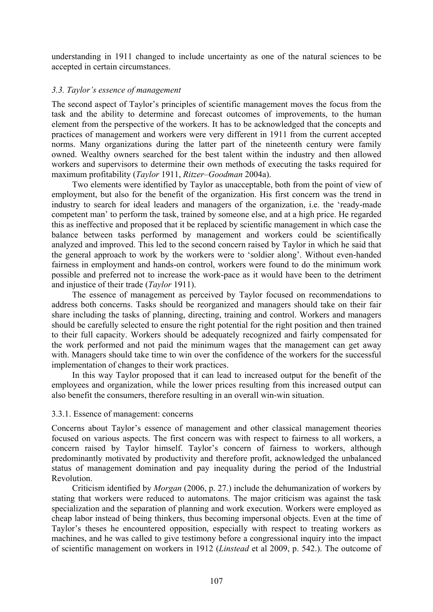understanding in 1911 changed to include uncertainty as one of the natural sciences to be accepted in certain circumstances.

## *3.3. Taylor's essence of management*

The second aspect of Taylor's principles of scientific management moves the focus from the task and the ability to determine and forecast outcomes of improvements, to the human element from the perspective of the workers. It has to be acknowledged that the concepts and practices of management and workers were very different in 1911 from the current accepted norms. Many organizations during the latter part of the nineteenth century were family owned. Wealthy owners searched for the best talent within the industry and then allowed workers and supervisors to determine their own methods of executing the tasks required for maximum profitability (*Taylor* 1911, *Ritzer*–*Goodman* 2004a).

Two elements were identified by Taylor as unacceptable, both from the point of view of employment, but also for the benefit of the organization. His first concern was the trend in industry to search for ideal leaders and managers of the organization, i.e. the 'ready-made competent man' to perform the task, trained by someone else, and at a high price. He regarded this as ineffective and proposed that it be replaced by scientific management in which case the balance between tasks performed by management and workers could be scientifically analyzed and improved. This led to the second concern raised by Taylor in which he said that the general approach to work by the workers were to 'soldier along'. Without even-handed fairness in employment and hands-on control, workers were found to do the minimum work possible and preferred not to increase the work-pace as it would have been to the detriment and injustice of their trade (*Taylor* 1911).

The essence of management as perceived by Taylor focused on recommendations to address both concerns. Tasks should be reorganized and managers should take on their fair share including the tasks of planning, directing, training and control. Workers and managers should be carefully selected to ensure the right potential for the right position and then trained to their full capacity. Workers should be adequately recognized and fairly compensated for the work performed and not paid the minimum wages that the management can get away with. Managers should take time to win over the confidence of the workers for the successful implementation of changes to their work practices.

In this way Taylor proposed that it can lead to increased output for the benefit of the employees and organization, while the lower prices resulting from this increased output can also benefit the consumers, therefore resulting in an overall win-win situation.

#### 3.3.1. Essence of management: concerns

Concerns about Taylor's essence of management and other classical management theories focused on various aspects. The first concern was with respect to fairness to all workers, a concern raised by Taylor himself. Taylor's concern of fairness to workers, although predominantly motivated by productivity and therefore profit, acknowledged the unbalanced status of management domination and pay inequality during the period of the Industrial Revolution.

Criticism identified by *Morgan* (2006, p. 27.) include the dehumanization of workers by stating that workers were reduced to automatons. The major criticism was against the task specialization and the separation of planning and work execution. Workers were employed as cheap labor instead of being thinkers, thus becoming impersonal objects. Even at the time of Taylor's theses he encountered opposition, especially with respect to treating workers as machines, and he was called to give testimony before a congressional inquiry into the impact of scientific management on workers in 1912 (*Linstead* et al 2009, p. 542.). The outcome of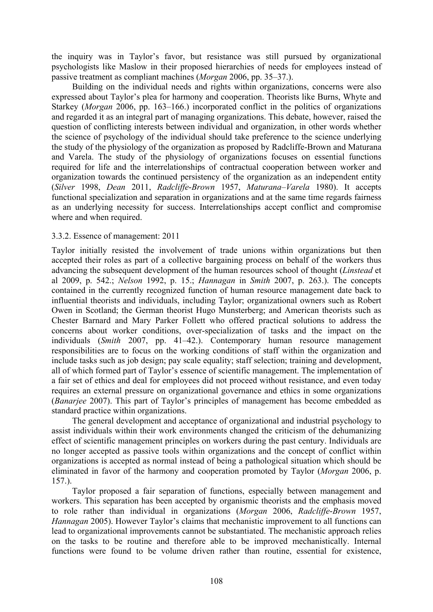the inquiry was in Taylor's favor, but resistance was still pursued by organizational psychologists like Maslow in their proposed hierarchies of needs for employees instead of passive treatment as compliant machines (*Morgan* 2006, pp. 35–37.).

Building on the individual needs and rights within organizations, concerns were also expressed about Taylor's plea for harmony and cooperation. Theorists like Burns, Whyte and Starkey (*Morgan* 2006, pp. 163–166.) incorporated conflict in the politics of organizations and regarded it as an integral part of managing organizations. This debate, however, raised the question of conflicting interests between individual and organization, in other words whether the science of psychology of the individual should take preference to the science underlying the study of the physiology of the organization as proposed by Radcliffe-Brown and Maturana and Varela. The study of the physiology of organizations focuses on essential functions required for life and the interrelationships of contractual cooperation between worker and organization towards the continued persistency of the organization as an independent entity (*Silver* 1998, *Dean* 2011, *Radcliffe*-*Brown* 1957, *Maturana*–*Varela* 1980). It accepts functional specialization and separation in organizations and at the same time regards fairness as an underlying necessity for success. Interrelationships accept conflict and compromise where and when required.

#### 3.3.2. Essence of management: 2011

Taylor initially resisted the involvement of trade unions within organizations but then accepted their roles as part of a collective bargaining process on behalf of the workers thus advancing the subsequent development of the human resources school of thought (*Linstead* et al 2009, p. 542.; *Nelson* 1992, p. 15.; *Hannagan* in *Smith* 2007, p. 263.). The concepts contained in the currently recognized function of human resource management date back to influential theorists and individuals, including Taylor; organizational owners such as Robert Owen in Scotland; the German theorist Hugo Munsterberg; and American theorists such as Chester Barnard and Mary Parker Follett who offered practical solutions to address the concerns about worker conditions, over-specialization of tasks and the impact on the individuals (*Smith* 2007, pp. 41–42.). Contemporary human resource management responsibilities are to focus on the working conditions of staff within the organization and include tasks such as job design; pay scale equality; staff selection; training and development, all of which formed part of Taylor's essence of scientific management. The implementation of a fair set of ethics and deal for employees did not proceed without resistance, and even today requires an external pressure on organizational governance and ethics in some organizations (*Banarjee* 2007). This part of Taylor's principles of management has become embedded as standard practice within organizations.

The general development and acceptance of organizational and industrial psychology to assist individuals within their work environments changed the criticism of the dehumanizing effect of scientific management principles on workers during the past century. Individuals are no longer accepted as passive tools within organizations and the concept of conflict within organizations is accepted as normal instead of being a pathological situation which should be eliminated in favor of the harmony and cooperation promoted by Taylor (*Morgan* 2006, p. 157.).

Taylor proposed a fair separation of functions, especially between management and workers. This separation has been accepted by organismic theorists and the emphasis moved to role rather than individual in organizations (*Morgan* 2006, *Radcliffe*-*Brown* 1957, *Hannagan* 2005). However Taylor's claims that mechanistic improvement to all functions can lead to organizational improvements cannot be substantiated. The mechanistic approach relies on the tasks to be routine and therefore able to be improved mechanistically. Internal functions were found to be volume driven rather than routine, essential for existence,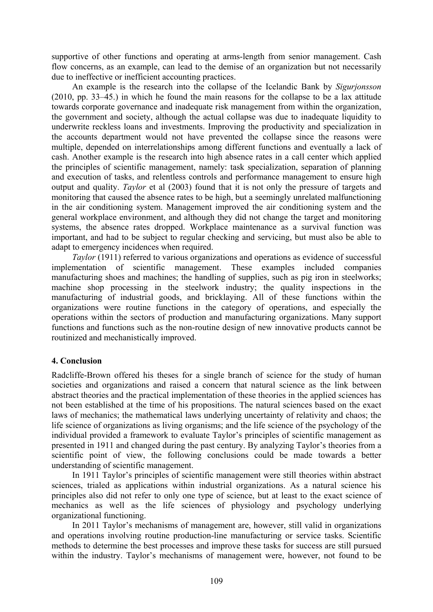supportive of other functions and operating at arms-length from senior management. Cash flow concerns, as an example, can lead to the demise of an organization but not necessarily due to ineffective or inefficient accounting practices.

An example is the research into the collapse of the Icelandic Bank by *Sigurjonsson* (2010, pp. 33–45.) in which he found the main reasons for the collapse to be a lax attitude towards corporate governance and inadequate risk management from within the organization, the government and society, although the actual collapse was due to inadequate liquidity to underwrite reckless loans and investments. Improving the productivity and specialization in the accounts department would not have prevented the collapse since the reasons were multiple, depended on interrelationships among different functions and eventually a lack of cash. Another example is the research into high absence rates in a call center which applied the principles of scientific management, namely: task specialization, separation of planning and execution of tasks, and relentless controls and performance management to ensure high output and quality. *Taylor* et al (2003) found that it is not only the pressure of targets and monitoring that caused the absence rates to be high, but a seemingly unrelated malfunctioning in the air conditioning system. Management improved the air conditioning system and the general workplace environment, and although they did not change the target and monitoring systems, the absence rates dropped. Workplace maintenance as a survival function was important, and had to be subject to regular checking and servicing, but must also be able to adapt to emergency incidences when required.

*Taylor* (1911) referred to various organizations and operations as evidence of successful implementation of scientific management. These examples included companies manufacturing shoes and machines; the handling of supplies, such as pig iron in steelworks; machine shop processing in the steelwork industry; the quality inspections in the manufacturing of industrial goods, and bricklaying. All of these functions within the organizations were routine functions in the category of operations, and especially the operations within the sectors of production and manufacturing organizations. Many support functions and functions such as the non-routine design of new innovative products cannot be routinized and mechanistically improved.

# **4. Conclusion**

Radcliffe-Brown offered his theses for a single branch of science for the study of human societies and organizations and raised a concern that natural science as the link between abstract theories and the practical implementation of these theories in the applied sciences has not been established at the time of his propositions. The natural sciences based on the exact laws of mechanics; the mathematical laws underlying uncertainty of relativity and chaos; the life science of organizations as living organisms; and the life science of the psychology of the individual provided a framework to evaluate Taylor's principles of scientific management as presented in 1911 and changed during the past century. By analyzing Taylor's theories from a scientific point of view, the following conclusions could be made towards a better understanding of scientific management.

In 1911 Taylor's principles of scientific management were still theories within abstract sciences, trialed as applications within industrial organizations. As a natural science his principles also did not refer to only one type of science, but at least to the exact science of mechanics as well as the life sciences of physiology and psychology underlying organizational functioning.

In 2011 Taylor's mechanisms of management are, however, still valid in organizations and operations involving routine production-line manufacturing or service tasks. Scientific methods to determine the best processes and improve these tasks for success are still pursued within the industry. Taylor's mechanisms of management were, however, not found to be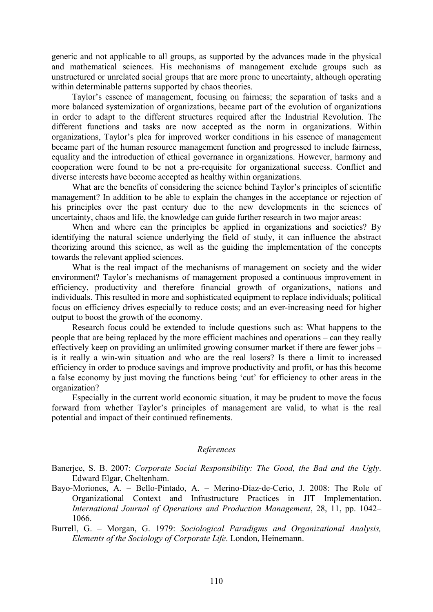generic and not applicable to all groups, as supported by the advances made in the physical and mathematical sciences. His mechanisms of management exclude groups such as unstructured or unrelated social groups that are more prone to uncertainty, although operating within determinable patterns supported by chaos theories.

Taylor's essence of management, focusing on fairness; the separation of tasks and a more balanced systemization of organizations, became part of the evolution of organizations in order to adapt to the different structures required after the Industrial Revolution. The different functions and tasks are now accepted as the norm in organizations. Within organizations, Taylor's plea for improved worker conditions in his essence of management became part of the human resource management function and progressed to include fairness, equality and the introduction of ethical governance in organizations. However, harmony and cooperation were found to be not a pre-requisite for organizational success. Conflict and diverse interests have become accepted as healthy within organizations.

What are the benefits of considering the science behind Taylor's principles of scientific management? In addition to be able to explain the changes in the acceptance or rejection of his principles over the past century due to the new developments in the sciences of uncertainty, chaos and life, the knowledge can guide further research in two major areas:

When and where can the principles be applied in organizations and societies? By identifying the natural science underlying the field of study, it can influence the abstract theorizing around this science, as well as the guiding the implementation of the concepts towards the relevant applied sciences.

What is the real impact of the mechanisms of management on society and the wider environment? Taylor's mechanisms of management proposed a continuous improvement in efficiency, productivity and therefore financial growth of organizations, nations and individuals. This resulted in more and sophisticated equipment to replace individuals; political focus on efficiency drives especially to reduce costs; and an ever-increasing need for higher output to boost the growth of the economy.

Research focus could be extended to include questions such as: What happens to the people that are being replaced by the more efficient machines and operations – can they really effectively keep on providing an unlimited growing consumer market if there are fewer jobs – is it really a win-win situation and who are the real losers? Is there a limit to increased efficiency in order to produce savings and improve productivity and profit, or has this become a false economy by just moving the functions being 'cut' for efficiency to other areas in the organization?

Especially in the current world economic situation, it may be prudent to move the focus forward from whether Taylor's principles of management are valid, to what is the real potential and impact of their continued refinements.

#### *References*

Banerjee, S. B. 2007: *Corporate Social Responsibility: The Good, the Bad and the Ugly*. Edward Elgar, Cheltenham.

Bayo-Moriones, A. – Bello-Pintado, A. – Merino-Díaz-de-Cerio, J. 2008: The Role of Organizational Context and Infrastructure Practices in JIT Implementation. *International Journal of Operations and Production Management*, 28, 11, pp. 1042– 1066.

Burrell, G. – Morgan, G. 1979: *Sociological Paradigms and Organizational Analysis, Elements of the Sociology of Corporate Life*. London, Heinemann.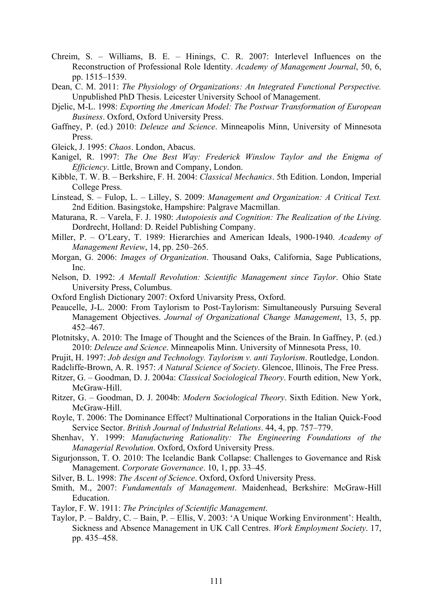- Chreim, S. Williams, B. E. Hinings, C. R. 2007: Interlevel Influences on the Reconstruction of Professional Role Identity. *Academy of Management Journal*, 50, 6, pp. 1515–1539.
- Dean, C. M. 2011: *The Physiology of Organizations: An Integrated Functional Perspective.* Unpublished PhD Thesis. Leicester University School of Management.
- Djelic, M-L. 1998: *Exporting the American Model: The Postwar Transformation of European Business*. Oxford, Oxford University Press.
- Gaffney, P. (ed.) 2010: *Deleuze and Science*. Minneapolis Minn, University of Minnesota Press.
- Gleick, J. 1995: *Chaos*. London, Abacus.
- Kanigel, R. 1997: *The One Best Way: Frederick Winslow Taylor and the Enigma of Efficiency*. Little, Brown and Company, London.
- Kibble, T. W. B. Berkshire, F. H. 2004: *Classical Mechanics*. 5th Edition. London, Imperial College Press.
- Linstead, S. Fulop, L. Lilley, S. 2009: *Management and Organization: A Critical Text.* 2nd Edition. Basingstoke, Hampshire: Palgrave Macmillan.
- Maturana, R. Varela, F. J. 1980: *Autopoiesis and Cognition: The Realization of the Living*. Dordrecht, Holland: D. Reidel Publishing Company.
- Miller, P. O'Leary, T. 1989: Hierarchies and American Ideals, 1900-1940. *Academy of Management Review*, 14, pp. 250–265.
- Morgan, G. 2006: *Images of Organization*. Thousand Oaks, California, Sage Publications, Inc.
- Nelson, D. 1992: *A Mentall Revolution: Scientific Management since Taylor*. Ohio State University Press, Columbus.
- Oxford English Dictionary 2007: Oxford Univarsity Press, Oxford.
- Peaucelle, J-L. 2000: From Taylorism to Post-Taylorism: Simultaneously Pursuing Several Management Objectives. *Journal of Organizational Change Management*, 13, 5, pp. 452–467.
- Plotnitsky, A. 2010: The Image of Thought and the Sciences of the Brain. In Gaffney, P. (ed.) 2010: *Deleuze and Science*. Minneapolis Minn. University of Minnesota Press, 10.
- Prujit, H. 1997: *Job design and Technology. Taylorism v. anti Taylorism*. Routledge, London.
- Radcliffe-Brown, A. R. 1957: *A Natural Science of Society*. Glencoe, Illinois, The Free Press.
- Ritzer, G. Goodman, D. J. 2004a: *Classical Sociological Theory*. Fourth edition, New York, McGraw-Hill.
- Ritzer, G. Goodman, D. J. 2004b: *Modern Sociological Theory*. Sixth Edition. New York, McGraw-Hill.
- Royle, T. 2006: The Dominance Effect? Multinational Corporations in the Italian Quick-Food Service Sector. *British Journal of Industrial Relations*. 44, 4, pp. 757–779.
- Shenhav, Y. 1999: *Manufacturing Rationality: The Engineering Foundations of the Managerial Revolution*. Oxford, Oxford University Press.
- Sigurjonsson, T. O. 2010: The Icelandic Bank Collapse: Challenges to Governance and Risk Management. *Corporate Governance*. 10, 1, pp. 33–45.
- Silver, B. L. 1998: *The Ascent of Science*. Oxford, Oxford University Press.
- Smith, M., 2007: *Fundamentals of Management*. Maidenhead, Berkshire: McGraw-Hill Education.
- Taylor, F. W. 1911: *The Principles of Scientific Management*.
- Taylor, P. Baldry, C. Bain, P. Ellis, V. 2003: 'A Unique Working Environment': Health, Sickness and Absence Management in UK Call Centres. *Work Employment Society*. 17, pp. 435–458.